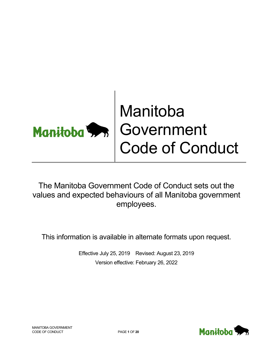# Manitoba Government Code of Conduct

The Manitoba Government Code of Conduct sets out the values and expected behaviours of all Manitoba government employees.

This information is available in alternate formats upon request.

Effective July 25, 2019 Revised: August 23, 2019 Version effective: February 26, 2022

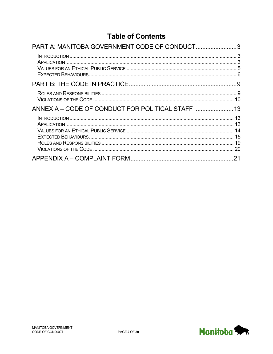## **Table of Contents**

| PART A: MANITOBA GOVERNMENT CODE OF CONDUCT3 |                                  |
|----------------------------------------------|----------------------------------|
|                                              |                                  |
|                                              |                                  |
|                                              | 10                               |
|                                              | 13                               |
|                                              | 13<br>13<br>14<br>15<br>19<br>20 |
|                                              | 21                               |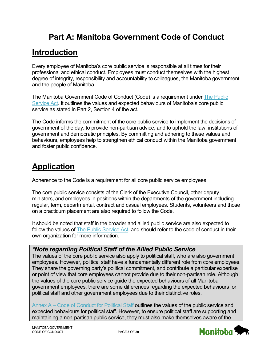# **Part A: Manitoba Government Code of Conduct**

## <span id="page-2-1"></span><span id="page-2-0"></span>**Introduction**

Every employee of Manitoba's core public service is responsible at all times for their professional and ethical conduct. Employees must conduct themselves with the highest degree of integrity, responsibility and accountability to colleagues, the Manitoba government and the people of Manitoba.

The Manitoba Government Code of Conduct (Code) is a requirement under [The Public](https://web2.gov.mb.ca/laws/statutes/ccsm/_pdf.php?cap=p271)  [Service Act.](https://web2.gov.mb.ca/laws/statutes/ccsm/_pdf.php?cap=p271) It outlines the values and expected behaviours of Manitoba's core public service as stated in Part 2, Section 4 of the act.

The Code informs the commitment of the core public service to implement the decisions of government of the day, to provide non-partisan advice, and to uphold the law, institutions of government and democratic principles. By committing and adhering to these values and behaviours, employees help to strengthen ethical conduct within the Manitoba government and foster public confidence.

# <span id="page-2-2"></span>**Application**

Adherence to the Code is a requirement for all core public service employees.

The core public service consists of the Clerk of the Executive Council, other deputy ministers, and employees in positions within the departments of the government including regular, term, departmental, contract and casual employees. Students, volunteers and those on a practicum placement are also required to follow the Code.

It should be noted that staff in the broader and allied public service are also expected to follow the values of [The Public Service Act,](https://web2.gov.mb.ca/laws/statutes/ccsm/_pdf.php?cap=p271) and should refer to the code of conduct in their own organization for more information.

### *\*Note regarding Political Staff of the Allied Public Service*

The values of the core public service also apply to political staff, who are also government employees. However, political staff have a fundamentally different role from core employees. They share the governing party's political commitment, and contribute a particular expertise or point of view that core employees cannot provide due to their non-partisan role. Although the values of the core public service guide the expected behaviours of all Manitoba government employees, there are some differences regarding the expected behaviours for political staff and other government employees due to their distinctive roles.

Annex A – [Code of Conduct for Political Staff](#page-12-0) outlines the values of the public service and expected behaviours for political staff. However, to ensure political staff are supporting and maintaining a non-partisan public service, they must also make themselves aware of the

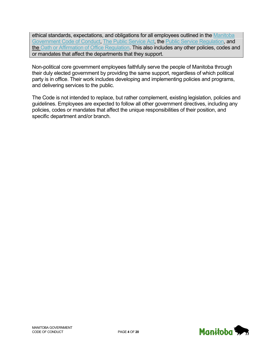ethical standards, expectations, and obligations for all employees outlined in the Manitoba [Government Code of Conduct,](#page-2-0) [The Public Service Act,](https://web2.gov.mb.ca/laws/statutes/ccsm/_pdf.php?cap=p271) the [Public Service Regulation,](https://web2.gov.mb.ca/laws/regs/current/_pdf-regs.php?reg=11/2022) and [the Oath or Affirmation of Office Regulation.](https://web2.gov.mb.ca/laws/regs/current/_pdf-regs.php?reg=17/2022) This also includes any other policies, codes and or mandates that affect the departments that they support.

Non-political core government employees faithfully serve the people of Manitoba through their duly elected government by providing the same support, regardless of which political party is in office. Their work includes developing and implementing policies and programs, and delivering services to the public.

The Code is not intended to replace, but rather complement, existing legislation, policies and guidelines. Employees are expected to follow all other government directives, including any policies, codes or mandates that affect the unique responsibilities of their position, and specific department and/or branch.

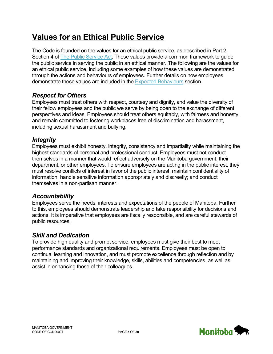# <span id="page-4-0"></span>**Values for an Ethical Public Service**

The Code is founded on the values for an ethical public service, as described in Part 2, Section 4 of [The Public Service Act.](https://web2.gov.mb.ca/laws/statutes/ccsm/_pdf.php?cap=p271) These values provide a common framework to guide the public service in serving the public in an ethical manner. The following are the values for an ethical public service, including some examples of how these values are demonstrated through the actions and behaviours of employees. Further details on how employees demonstrate these values are included in the [Expected Behaviours](#page-5-0) section.

### *Respect for Others*

Employees must treat others with respect, courtesy and dignity, and value the diversity of their fellow employees and the public we serve by being open to the exchange of different perspectives and ideas. Employees should treat others equitably, with fairness and honesty, and remain committed to fostering workplaces free of discrimination and harassment, including sexual harassment and bullying.

#### *Integrity*

Employees must exhibit honesty, integrity, consistency and impartiality while maintaining the highest standards of personal and professional conduct. Employees must not conduct themselves in a manner that would reflect adversely on the Manitoba government, their department, or other employees. To ensure employees are acting in the public interest, they must resolve conflicts of interest in favor of the public interest; maintain confidentiality of information; handle sensitive information appropriately and discreetly; and conduct themselves in a non-partisan manner.

### *Accountability*

Employees serve the needs, interests and expectations of the people of Manitoba. Further to this, employees should demonstrate leadership and take responsibility for decisions and actions. It is imperative that employees are fiscally responsible, and are careful stewards of public resources.

### *Skill and Dedication*

To provide high quality and prompt service, employees must give their best to meet performance standards and organizational requirements. Employees must be open to continual learning and innovation, and must promote excellence through reflection and by maintaining and improving their knowledge, skills, abilities and competencies, as well as assist in enhancing those of their colleagues.

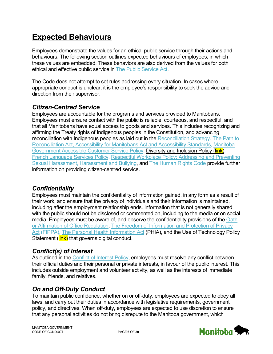# <span id="page-5-0"></span>**Expected Behaviours**

Employees demonstrate the values for an ethical public service through their actions and behaviours. The following section outlines expected behaviours of employees, in which these values are embedded. These behaviors are also derived from the values for both ethical and effective public service in [The Public Service Act.](https://web2.gov.mb.ca/laws/statutes/ccsm/_pdf.php?cap=p271)

The Code does not attempt to set rules addressing every situation. In cases where appropriate conduct is unclear, it is the employee's responsibility to seek the advice and direction from their supervisor.

### *Citizen-Centred Service*

Employees are accountable for the programs and services provided to Manitobans. Employees must ensure contact with the public is reliable, courteous, and respectful, and that all Manitobans have equal access to goods and services. This includes recognizing and affirming the Treaty rights of Indigenous peoples in the Constitution, and advancing reconciliation with Indigenous peoples as laid out in the [Reconciliation Strategy.](https://manitoba.ca/inr/reconciliation-strategy/index.html) The Path to [Reconciliation Act, Accessibility for Manitobans Act](https://web2.gov.mb.ca/laws/statutes/ccsm/a001-7e.php) and [Accessibility Standards,](http://www.accessibilitymb.ca/accessibility-standards.html) [Manitoba](https://www.gov.mb.ca/asset_library/en/accessibility/accessible_customer_service_policy.pdf)  [Government Accessible Customer Service Policy,](https://www.gov.mb.ca/asset_library/en/accessibility/accessible_customer_service_policy.pdf) Diversity and Inclusion Policy (link), [French Language Services Policy,](http://www.gov.mb.ca/fls-slf/pdf/fls_policy_en20170908.pdf) [Respectful Workplace Policy: Addressing and Preventing](http://www.manitoba.ca/csc/policyman/respect.html)  [Sexual Harassment, Harassment and Bullying,](http://www.manitoba.ca/csc/policyman/respect.html) and [The Human Rights Code](http://web2.gov.mb.ca/laws/statutes/ccsm/h175e.php) provide further information on providing citizen-centred service.

### *Confidentiality*

Employees must maintain the confidentiality of information gained, in any form as a result of their work, and ensure that the privacy of individuals and their information is maintained, including after the employment relationship ends. Information that is not generally shared with the public should not be disclosed or commented on, including to the media or on social media. Employees must be aware of, and observe the confidentiality provisions of the Oath or Affirmation of Office Regulation, [The Freedom of Information and Protection of Privacy](http://web2.gov.mb.ca/laws/statutes/ccsm/f175e.php)  [Act](http://web2.gov.mb.ca/laws/statutes/ccsm/f175e.php) (FIPPA), [The Personal Health Information Act](http://web2.gov.mb.ca/laws/statutes/ccsm/p033-5e.php) (PHIA), and the Use of Technology Policy Statement (*link*) that governs digital conduct.

### *Conflict(s) of Interest*

As outlined in the [Conflict of Interest](http://www.gov.mb.ca/csc/policyman/conflict.html) Policy, employees must resolve any conflict between their official duties and their personal or private interests, in favour of the public interest. This includes outside employment and volunteer activity, as well as the interests of immediate family, friends, and relatives.

### *On and Off-Duty Conduct*

To maintain public confidence, whether on or off-duty, employees are expected to obey all laws, and carry out their duties in accordance with legislative requirements, government policy, and directives. When off-duty, employees are expected to use discretion to ensure that any personal activities do not bring disrepute to the Manitoba government, which

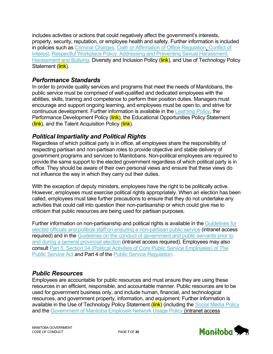includes activities or actions that could negatively affect the government's interests, property, security, reputation, or employee health and safety. Further information is included in policies such as [Criminal Charges,](http://www.gov.mb.ca/csc/policyman/crimcharge.html) [Oath or Affirmation of Office](https://web2.gov.mb.ca/laws/regs/current/_pdf-regs.php?reg=17/2022) Regulation, [Conflict of](http://www.gov.mb.ca/csc/policyman/conflict.html)  [Interest,](http://www.gov.mb.ca/csc/policyman/conflict.html) [Respectful Workplace Policy: Addressing and Preventing Sexual Harassment,](http://www.manitoba.ca/csc/policyman/respect.html)  [Harassment and Bullying,](http://www.manitoba.ca/csc/policyman/respect.html) Diversity and Inclusion Policy (link), and Use of Technology Policy Statement (link).

### *Performance Standards*

In order to provide quality services and programs that meet the needs of Manitobans, the public service must be comprised of well-qualified and dedicated employees with the abilities, skills, training and competence to perform their position duties. Managers must encourage and support ongoing learning, and employees must be open to, and strive for continuous development. Further information is available in the [Learning Policy,](http://www.manitoba.ca/csc/pdf/learnpol.pdf) the Performance Development Policy (link), the Educational Opportunities Policy Statement (link), and the Talent Acquisition Policy (link).

### *Political Impartiality and Political Rights*

Regardless of which political party is in office, all employees share the responsibility of respecting partisan and non-partisan roles to provide objective and stable delivery of government programs and services to Manitobans. Non-political employees are required to provide the same support to the elected government regardless of which political party is in office. They should be aware of their own personal views and ensure that these views do not influence the way in which they carry out their duties.

With the exception of deputy ministers, employees have the right to be politically active. However, employees must exercise political rights appropriately. When an election has been called, employees must take further precautions to ensure that they do not undertake any activities that could call into question their non-partisanship or which could give rise to criticism that public resources are being used for partisan purposes.

Further information on non-partisanship and political rights is available in the [Guidelines for](https://www.intranet.mbgov.ca/csc/pdf/Guidelines_for_elected_officials_and_political_staff.pdf)  [elected officials and political staff on ensuring a non-partisan public](https://www.intranet.mbgov.ca/csc/pdf/Guidelines_for_elected_officials_and_political_staff.pdf) service (intranet access required) and in the [Guidelines on the conduct of government and public servants prior to](https://mbgps.intranet.mbgov.ca/cabinet-corner/resources/caretaker-convention/)  [and during a general provincial](https://mbgps.intranet.mbgov.ca/cabinet-corner/resources/caretaker-convention/) election (intranet access required). Employees may also consult [Part 5, Section 34 \(Political Activities of Core Public Service Employees\) of](https://web2.gov.mb.ca/laws/statutes/ccsm/_pdf.php?cap=p271) The [Public Service Act](https://web2.gov.mb.ca/laws/statutes/ccsm/_pdf.php?cap=p271) and Part 4 of the [Public Service Regulation.](https://web2.gov.mb.ca/laws/regs/current/_pdf-regs.php?reg=11/2022)

### *Public Resources*

Employees are accountable for public resources and must ensure they are using these resources in an efficient, responsible, and accountable manner. Public resources are to be used for government business only, and include human, financial, and technological resources, and government property, information, and equipment. Further information is available in the Use of Technology Policy Statement (link) (including the [Social Media Policy](http://www.manitoba.ca/csc/policyman/socialmedia.html) and the [Government of Manitoba Employee Network Usage Policy](http://cserv.internal/sites/btt_customer_portal/policiesstandards/Documents/network_policy.pdf) (intranet access

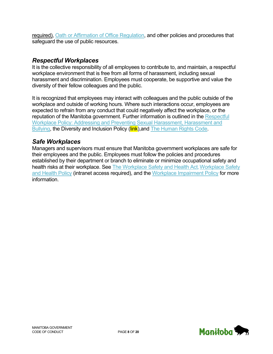required), [Oath or Affirmation of Office](https://web2.gov.mb.ca/laws/regs/current/_pdf-regs.php?reg=17/2022) Regulation, and other policies and procedures that safeguard the use of public resources.

#### *Respectful Workplaces*

It is the collective responsibility of all employees to contribute to, and maintain, a respectful workplace environment that is free from all forms of harassment, including sexual harassment and discrimination. Employees must cooperate, be supportive and value the diversity of their fellow colleagues and the public.

It is recognized that employees may interact with colleagues and the public outside of the workplace and outside of working hours. Where such interactions occur, employees are expected to refrain from any conduct that could negatively affect the workplace, or the reputation of the Manitoba government. Further information is outlined in the Respectful [Workplace Policy: Addressing and Preventing Sexual Harassment, Harassment and](http://www.manitoba.ca/csc/policyman/respect.html)  [Bullying,](http://www.manitoba.ca/csc/policyman/respect.html) the Diversity and Inclusion Policy (link), and [The Human Rights Code.](http://web2.gov.mb.ca/laws/statutes/ccsm/h175e.php)

#### *Safe Workplaces*

Managers and supervisors must ensure that Manitoba government workplaces are safe for their employees and the public. Employees must follow the policies and procedures established by their department or branch to eliminate or minimize occupational safety and health risks at their workplace. See [The Workplace Safety and Health Act](http://web2.gov.mb.ca/laws/statutes/ccsm/w210e.php), Workplace Safety [and Health](http://www.internal/csc/pdf/Workplace_Safety_and_Health-policy.pdf) Policy (intranet access required), and the [Workplace Impairment](http://www.manitoba.ca/csc/policyman/impairment.html) Policy for more information.

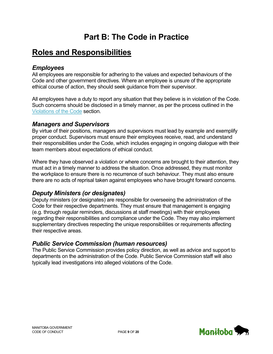# **Part B: The Code in Practice**

### <span id="page-8-1"></span><span id="page-8-0"></span>**Roles and Responsibilities**

#### *Employees*

All employees are responsible for adhering to the values and expected behaviours of the Code and other government directives. Where an employee is unsure of the appropriate ethical course of action, they should seek guidance from their supervisor.

All employees have a duty to report any situation that they believe is in violation of the Code. Such concerns should be disclosed in a timely manner, as per the process outlined in the [Violations of the Code](#page-9-0) section.

#### *Managers and Supervisors*

By virtue of their positions, managers and supervisors must lead by example and exemplify proper conduct. Supervisors must ensure their employees receive, read, and understand their responsibilities under the Code, which includes engaging in ongoing dialogue with their team members about expectations of ethical conduct.

Where they have observed a violation or where concerns are brought to their attention, they must act in a timely manner to address the situation. Once addressed, they must monitor the workplace to ensure there is no recurrence of such behaviour. They must also ensure there are no acts of reprisal taken against employees who have brought forward concerns.

#### *Deputy Ministers (or designates)*

Deputy ministers (or designates) are responsible for overseeing the administration of the Code for their respective departments. They must ensure that management is engaging (e.g. through regular reminders, discussions at staff meetings) with their employees regarding their responsibilities and compliance under the Code. They may also implement supplementary directives respecting the unique responsibilities or requirements affecting their respective areas.

#### *Public Service Commission (human resources)*

The Public Service Commission provides policy direction, as well as advice and support to departments on the administration of the Code. Public Service Commission staff will also typically lead investigations into alleged violations of the Code.

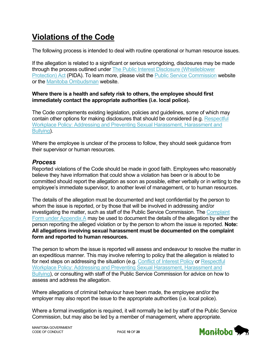# <span id="page-9-0"></span>**Violations of the Code**

The following process is intended to deal with routine operational or human resource issues.

If the allegation is related to a significant or serious wrongdoing, disclosures may be made through the process outlined under [The Public Interest Disclosure \(Whistleblower](http://web2.gov.mb.ca/laws/statutes/ccsm/p217e.php)  [Protection\) Act](http://web2.gov.mb.ca/laws/statutes/ccsm/p217e.php) (PIDA). To learn more, please visit the Public [Service Commission](https://www.gov.mb.ca/csc/whistle/index.html) website or the [Manitoba Ombudsman](https://www.ombudsman.mb.ca/info/the-public-interest-disclosure-act.html) website.

#### **Where there is a health and safety risk to others, the employee should first immediately contact the appropriate authorities (i.e. local police).**

The Code complements existing legislation, policies and guidelines, some of which may contain other options for making disclosures that should be considered (e.g. [Respectful](http://www.manitoba.ca/csc/policyman/respect.html)  [Workplace Policy: Addressing and Preventing Sexual Harassment, Harassment and](http://www.manitoba.ca/csc/policyman/respect.html)  [Bullying\)](http://www.manitoba.ca/csc/policyman/respect.html).

Where the employee is unclear of the process to follow, they should seek guidance from their supervisor or human resources.

### *Process*

Reported violations of the Code should be made in good faith. Employees who reasonably believe they have information that could show a violation has been or is about to be committed should report the allegation as soon as possible, either verbally or in writing to the employee's immediate supervisor, to another level of management, or to human resources.

The details of the allegation must be documented and kept confidential by the person to whom the issue is reported, or by those that will be involved in addressing and/or investigating the matter, such as staff of the Public Service Commission. The [Complaint](#page-20-0) [Form under Appendix A](#page-20-0) may be used to document the details of the allegation by either the person reporting the alleged violation or by the person to whom the issue is reported. **Note: All allegations involving sexual harassment must be documented on the complaint form and reported to human resources.**

The person to whom the issue is reported will assess and endeavour to resolve the matter in an expeditious manner. This may involve referring to policy that the allegation is related to for next steps on addressing the situation (e.g. [Conflict of Interest Policy](http://www.manitoba.ca/csc/policyman/conflict.html) or Respectful [Workplace Policy: Addressing and Preventing Sexual Harassment, Harassment and](http://www.manitoba.ca/csc/policyman/respect.html)  [Bullying\)](http://www.manitoba.ca/csc/policyman/respect.html), or consulting with staff of the Public Service Commission for advice on how to assess and address the allegation.

Where allegations of criminal behaviour have been made, the employee and/or the employer may also report the issue to the appropriate authorities (i.e. local police).

Where a formal investigation is required, it will normally be led by staff of the Public Service Commission, but may also be led by a member of management, where appropriate.

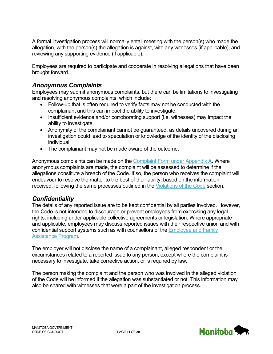A formal investigation process will normally entail meeting with the person(s) who made the allegation, with the person(s) the allegation is against, with any witnesses (if applicable), and reviewing any supporting evidence (if applicable).

Employees are required to participate and cooperate in resolving allegations that have been brought forward.

### *Anonymous Complaints*

Employees may submit anonymous complaints, but there can be limitations to investigating and resolving anonymous complaints, which include:

- Follow-up that is often required to verify facts may not be conducted with the complainant and this can impact the ability to investigate.
- Insufficient evidence and/or corroborating support (i.e. witnesses) may impact the ability to investigate.
- Anonymity of the complainant cannot be guaranteed, as details uncovered during an investigation could lead to speculation or knowledge of the identity of the disclosing individual.
- The complainant may not be made aware of the outcome.

Anonymous complaints can be made on the Complaint [Form under Appendix A.](#page-21-0) Where anonymous complaints are made, the complaint will be assessed to determine if the allegations constitute a breach of the Code. If so, the person who receives the complaint will endeavour to resolve the matter to the best of their ability, based on the information received, following the same processes outlined in the [Violations of the Code](#page-9-0) section.

#### *Confidentiality*

The details of any reported issue are to be kept confidential by all parties involved. However, the Code is not intended to discourage or prevent employees from exercising any legal rights, including under applicable collective agreements or legislation. Where appropriate and applicable, employees may discuss reported issues with their respective union and with confidential support systems such as with counsellors of the [Employee and Family](http://www.manitoba.ca/csc/aboutcsc/efap/index.html)  [Assistance Program.](http://www.manitoba.ca/csc/aboutcsc/efap/index.html)

The employer will not disclose the name of a complainant, alleged respondent or the circumstances related to a reported issue to any person, except where the complaint is necessary to investigate, take corrective action, or is required by law.

The person making the complaint and the person who was involved in the alleged violation of the Code will be informed if the allegation was substantiated or not. This information may also be shared with witnesses that were a part of the investigation process.

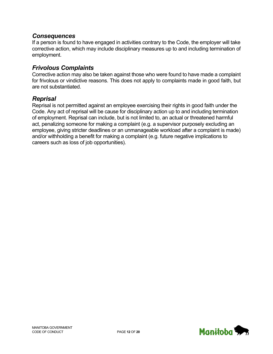#### *Consequences*

If a person is found to have engaged in activities contrary to the Code, the employer will take corrective action, which may include disciplinary measures up to and including termination of employment.

#### *Frivolous Complaints*

Corrective action may also be taken against those who were found to have made a complaint for frivolous or vindictive reasons. This does not apply to complaints made in good faith, but are not substantiated.

#### *Reprisal*

Reprisal is not permitted against an employee exercising their rights in good faith under the Code. Any act of reprisal will be cause for disciplinary action up to and including termination of employment. Reprisal can include, but is not limited to, an actual or threatened harmful act, penalizing someone for making a complaint (e.g. a supervisor purposely excluding an employee, giving stricter deadlines or an unmanageable workload after a complaint is made) and/or withholding a benefit for making a complaint (e.g. future negative implications to careers such as loss of job opportunities).

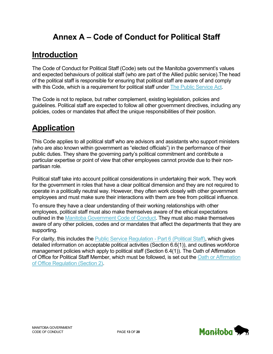# **Annex A – Code of Conduct for Political Staff**

# <span id="page-12-1"></span><span id="page-12-0"></span>**Introduction**

The Code of Conduct for Political Staff (Code) sets out the Manitoba government's values and expected behaviours of political staff (who are part of the Allied public service).The head of the political staff is responsible for ensuring that political staff are aware of and comply with this Code, which is a requirement for political staff under [The Public Service Act.](https://web2.gov.mb.ca/laws/statutes/ccsm/_pdf.php?cap=p271)

The Code is not to replace, but rather complement, existing legislation, policies and guidelines. Political staff are expected to follow all other government directives, including any policies, codes or mandates that affect the unique responsibilities of their position.

# <span id="page-12-2"></span>**Application**

This Code applies to all political staff who are advisors and assistants who support ministers (who are also known within government as "elected officials") in the performance of their public duties. They share the governing party's political commitment and contribute a particular expertise or point of view that other employees cannot provide due to their nonpartisan role.

Political staff take into account political considerations in undertaking their work. They work for the government in roles that have a clear political dimension and they are not required to operate in a politically neutral way. However, they often work closely with other government employees and must make sure their interactions with them are free from political influence.

To ensure they have a clear understanding of their working relationships with other employees, political staff must also make themselves aware of the ethical expectations outlined in the [Manitoba Government Code of Conduct.](#page-2-0) They must also make themselves aware of any other policies, codes and or mandates that affect the departments that they are supporting.

For clarity, this includes the **Public Service Regulation - Part 6 (Political Staff)**, which gives detailed information on acceptable political activities (Section 6.6(1)), and outlines workforce management policies which apply to political staff (Section 6.4(1)). The Oath of Affirmation of Office for Political Staff Member, which must be followed, is set out the [Oath or Affirmation](https://web2.gov.mb.ca/laws/regs/current/_pdf-regs.php?reg=17/2022)  [of Office Regulation \(Section 2\).](https://web2.gov.mb.ca/laws/regs/current/_pdf-regs.php?reg=17/2022)

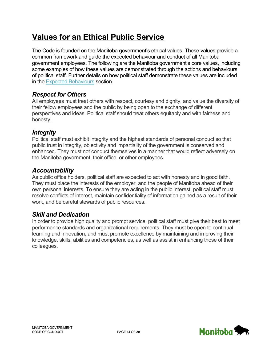# <span id="page-13-0"></span>**Values for an Ethical Public Service**

The Code is founded on the Manitoba government's ethical values. These values provide a common framework and guide the expected behaviour and conduct of all Manitoba government employees. The following are the Manitoba government's core values, including some examples of how these values are demonstrated through the actions and behaviours of political staff. Further details on how political staff demonstrate these values are included in the [Expected Behaviours](#page-13-1) section.

### *Respect for Others*

All employees must treat others with respect, courtesy and dignity, and value the diversity of their fellow employees and the public by being open to the exchange of different perspectives and ideas. Political staff should treat others equitably and with fairness and honesty.

#### *Integrity*

Political staff must exhibit integrity and the highest standards of personal conduct so that public trust in integrity, objectivity and impartiality of the government is conserved and enhanced. They must not conduct themselves in a manner that would reflect adversely on the Manitoba government, their office, or other employees.

### *Accountability*

As public office holders, political staff are expected to act with honesty and in good faith. They must place the interests of the employer, and the people of Manitoba ahead of their own personal interests. To ensure they are acting in the public interest, political staff must resolve conflicts of interest, maintain confidentiality of information gained as a result of their work, and be careful stewards of public resources.

### *Skill and Dedication*

<span id="page-13-1"></span>In order to provide high quality and prompt service, political staff must give their best to meet performance standards and organizational requirements. They must be open to continual learning and innovation, and must promote excellence by maintaining and improving their knowledge, skills, abilities and competencies, as well as assist in enhancing those of their colleagues.

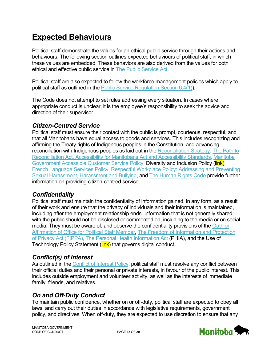# <span id="page-14-0"></span>**Expected Behaviours**

Political staff demonstrate the values for an ethical public service through their actions and behaviours. The following section outlines expected behaviours of political staff, in which these values are embedded. These behaviors are also derived from the values for both ethical and effective public service in [The Public Service Act.](https://web2.gov.mb.ca/laws/statutes/ccsm/_pdf.php?cap=p271)

Political staff are also expected to follow the workforce management policies which apply to political staff as outlined in the [Public Service Regulation Section 6.4\(1\)\)](https://web2.gov.mb.ca/laws/regs/current/_pdf-regs.php?reg=11/2022).

The Code does not attempt to set rules addressing every situation. In cases where appropriate conduct is unclear, it is the employee's responsibility to seek the advice and direction of their supervisor.

#### *Citizen-Centred Service*

Political staff must ensure their contact with the public is prompt, courteous, respectful, and that all Manitobans have equal access to goods and services. This includes recognizing and affirming the Treaty rights of Indigenous peoples in the Constitution, and advancing reconciliation with Indigenous peoples as laid out in the [Reconciliation Strategy.](https://manitoba.ca/inr/reconciliation-strategy/index.html) The Path to [Reconciliation Act, Accessibility for Manitobans Act](https://web2.gov.mb.ca/laws/statutes/ccsm/a001-7e.php) and [Accessibility Standards,](http://www.accessibilitymb.ca/accessibility-standards.html) [Manitoba](https://www.gov.mb.ca/asset_library/en/accessibility/accessible_customer_service_policy.pdf)  [Government Accessible Customer Service Policy,](https://www.gov.mb.ca/asset_library/en/accessibility/accessible_customer_service_policy.pdf) Diversity and Inclusion Policy (link), [French Language Services Policy,](http://www.gov.mb.ca/fls-slf/pdf/fls_policy_en20170908.pdf) [Respectful Workplace Policy: Addressing and Preventing](http://www.manitoba.ca/csc/policyman/respect.html)  [Sexual Harassment, Harassment](http://www.manitoba.ca/csc/policyman/respect.html) and Bullying, and [The Human Rights Code](http://web2.gov.mb.ca/laws/statutes/ccsm/h175e.php) provide further information on providing citizen-centred service.

### *Confidentiality*

Political staff must maintain the confidentiality of information gained, in any form, as a result of their work and ensure that the privacy of individuals and their information is maintained, including after the employment relationship ends. Information that is not generally shared with the public should not be disclosed or commented on, including to the media or on social media. They must be aware of, and observe the confidentiality provisions of the [Oath or](https://web2.gov.mb.ca/laws/regs/current/_pdf-regs.php?reg=17/2022)  [Affirmation of Office for Political Staff Member,](https://web2.gov.mb.ca/laws/regs/current/_pdf-regs.php?reg=17/2022) [The Freedom of Information and Protection](http://web2.gov.mb.ca/laws/statutes/ccsm/f175e.php)  [of Privacy Act](http://web2.gov.mb.ca/laws/statutes/ccsm/f175e.php) (FIPPA), [The Personal Health Information Act](http://web2.gov.mb.ca/laws/statutes/ccsm/p033-5e.php) (PHIA), and the Use of Technology Policy Statement (link) that governs digital conduct.

### *Conflict(s) of Interest*

As outlined in the [Conflict of Interest Policy,](http://www.gov.mb.ca/csc/policyman/conflict.html) political staff must resolve any conflict between their official duties and their personal or private interests, in favour of the public interest. This includes outside employment and volunteer activity, as well as the interests of immediate family, friends, and relatives.

### *On and Off-Duty Conduct*

To maintain public confidence, whether on or off-duty, political staff are expected to obey all laws, and carry out their duties in accordance with legislative requirements, government policy, and directives. When off-duty, they are expected to use discretion to ensure that any

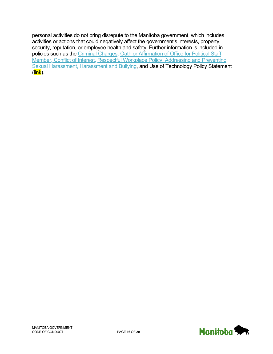personal activities do not bring disrepute to the Manitoba government, which includes activities or actions that could negatively affect the government's interests, property, security, reputation, or employee health and safety. Further information is included in policies such as the [Criminal Charges,](http://www.gov.mb.ca/csc/policyman/crimcharge.html) Oath or Affirmation [of Office for Political Staff](https://web2.gov.mb.ca/laws/regs/current/_pdf-regs.php?reg=17/2022)  [Member,](https://web2.gov.mb.ca/laws/regs/current/_pdf-regs.php?reg=17/2022) [Conflict of Interest,](http://www.gov.mb.ca/csc/policyman/conflict.html) [Respectful Workplace Policy: Addressing and Preventing](http://www.manitoba.ca/csc/policyman/respect.html)  [Sexual Harassment, Harassment and Bullying,](http://www.manitoba.ca/csc/policyman/respect.html) and Use of Technology Policy Statement  $(\overline{\textsf{link}})$ .

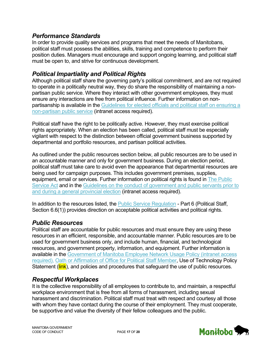#### *Performance Standards*

In order to provide quality services and programs that meet the needs of Manitobans, political staff must possess the abilities, skills, training and competence to perform their position duties. Managers must encourage and support ongoing learning, and political staff must be open to, and strive for continuous development.

#### *Political Impartiality and Political Rights*

Although political staff share the governing party's political commitment, and are not required to operate in a politically neutral way, they do share the responsibility of maintaining a nonpartisan public service. Where they interact with other government employees, they must ensure any interactions are free from political influence*.* Further information on nonpartisanship is available in the Guidelines for elected officials and political staff on ensuring a [non-partisan public](http://www.internal/csc/pdf/Guidelines_for_elected_officials_and_political_staff.pdf) service (intranet access required).

Political staff have the right to be politically active. However, they must exercise political rights appropriately. When an election has been called, political staff must be especially vigilant with respect to the distinction between official government business supported by departmental and portfolio resources, and partisan political activities.

As outlined under the public resources section below, all public resources are to be used in an accountable manner and only for government business. During an election period, political staff must take care to avoid even the appearance that departmental resources are being used for campaign purposes. This includes government premises, supplies, equipment, email or services. Further information on political rights is found in [The Public](https://web2.gov.mb.ca/laws/statutes/ccsm/_pdf.php?cap=p271)  [Service Act](https://web2.gov.mb.ca/laws/statutes/ccsm/_pdf.php?cap=p271) and in the [Guidelines on the conduct of government and public servants prior to](https://mbgps.intranet.mbgov.ca/elections/caretaker-convention/)  [and during a general provincial election](https://mbgps.intranet.mbgov.ca/elections/caretaker-convention/) (intranet access required).

In addition to the resources listed, the [Public Service Regulation](https://web2.gov.mb.ca/laws/regs/current/_pdf-regs.php?reg=11/2022) - Part 6 (Political Staff, Section 6.6(1)) provides direction on acceptable political activities and political rights.

### *Public Resources*

Political staff are accountable for public resources and must ensure they are using these resources in an efficient, responsible, and accountable manner. Public resources are to be used for government business only, and include human, financial, and technological resources, and government property, information, and equipment. Further information is available in the [Government of Manitoba Employee Network Usage Policy](http://cserv.internal/sites/btt_customer_portal/policiesstandards/Documents/network_policy.pdf) (intranet access required), [Oath or Affirmation of Office for Political Staff Member,](https://web2.gov.mb.ca/laws/regs/current/_pdf-regs.php?reg=17/2022) Use of Technology Policy Statement (link), and policies and procedures that safeguard the use of public resources.

#### *Respectful Workplaces*

It is the collective responsibility of all employees to contribute to, and maintain, a respectful workplace environment that is free from all forms of harassment, including sexual harassment and discrimination. Political staff must treat with respect and courtesy all those with whom they have contact during the course of their employment. They must cooperate, be supportive and value the diversity of their fellow colleagues and the public.

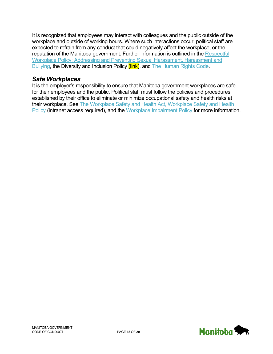It is recognized that employees may interact with colleagues and the public outside of the workplace and outside of working hours. Where such interactions occur, political staff are expected to refrain from any conduct that could negatively affect the workplace, or the reputation of the Manitoba government. Further information is outlined in the Respectful [Workplace Policy: Addressing and Preventing Sexual Harassment, Harassment and](http://www.manitoba.ca/csc/policyman/respect.html)  [Bullying,](http://www.manitoba.ca/csc/policyman/respect.html) the Diversity and Inclusion Policy (link), and [The Human Rights Code.](http://web2.gov.mb.ca/laws/statutes/ccsm/h175e.php)

### *Safe Workplaces*

It is the employer's responsibility to ensure that Manitoba government workplaces are safe for their employees and the public. Political staff must follow the policies and procedures established by their office to eliminate or minimize occupational safety and health risks at their workplace. See [The Workplace Safety and Health Act,](http://web2.gov.mb.ca/laws/statutes/ccsm/w210e.php) [Workplace Safety and Health](http://www.internal/csc/pdf/Workplace_Safety_and_Health-policy.pdf)  [Policy](http://www.internal/csc/pdf/Workplace_Safety_and_Health-policy.pdf) (intranet access required), and the [Workplace Impairment Policy](http://www.manitoba.ca/csc/policyman/impairment.html) for more information.

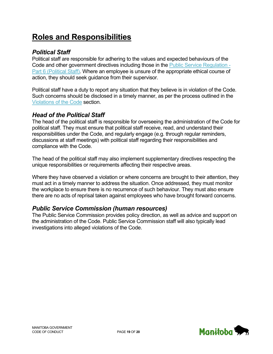# <span id="page-18-0"></span>**Roles and Responsibilities**

#### *Political Staff*

Political staff are responsible for adhering to the values and expected behaviours of the Code and other government directives including those in the [Public Service Regulation](https://web2.gov.mb.ca/laws/regs/current/_pdf-regs.php?reg=11/2022) - [Part 6 \(Political Staff\).](https://web2.gov.mb.ca/laws/regs/current/_pdf-regs.php?reg=11/2022) Where an employee is unsure of the appropriate ethical course of action, they should seek guidance from their supervisor.

Political staff have a duty to report any situation that they believe is in violation of the Code. Such concerns should be disclosed in a timely manner, as per the process outlined in the [Violations of the Code](#page-19-0) section.

#### *Head of the Political Staff*

The head of the political staff is responsible for overseeing the administration of the Code for political staff. They must ensure that political staff receive, read, and understand their responsibilities under the Code, and regularly engage (e.g. through regular reminders, discussions at staff meetings) with political staff regarding their responsibilities and compliance with the Code.

The head of the political staff may also implement supplementary directives respecting the unique responsibilities or requirements affecting their respective areas.

Where they have observed a violation or where concerns are brought to their attention, they must act in a timely manner to address the situation. Once addressed, they must monitor the workplace to ensure there is no recurrence of such behaviour. They must also ensure there are no acts of reprisal taken against employees who have brought forward concerns.

### *Public Service Commission (human resources)*

The Public Service Commission provides policy direction, as well as advice and support on the administration of the Code. Public Service Commission staff will also typically lead investigations into alleged violations of the Code.

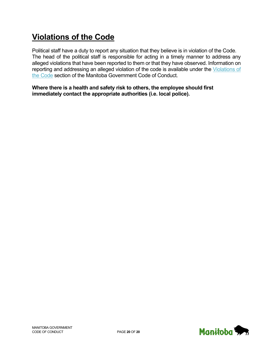# <span id="page-19-0"></span>**Violations of the Code**

Political staff have a duty to report any situation that they believe is in violation of the Code. The head of the political staff is responsible for acting in a timely manner to address any alleged violations that have been reported to them or that they have observed. Information on reporting and addressing an alleged violation of the code is available under the [Violations of](#page-9-0)  [the Code](#page-9-0) section of the Manitoba Government Code of Conduct.

**Where there is a health and safety risk to others, the employee should first immediately contact the appropriate authorities (i.e. local police).**

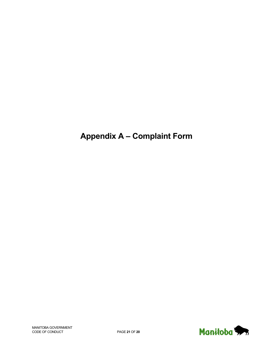# <span id="page-20-0"></span>**Appendix A – Complaint Form**

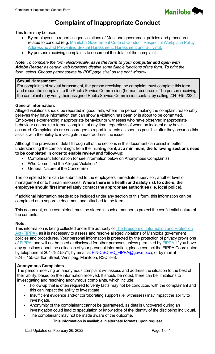

# <span id="page-21-0"></span>**Complaint of Inappropriate Conduct**

This form may be used:

- By employees to report alleged violations of Manitoba government policies and procedures related to conduct (e.g. [Manitoba Government Code of Conduct,](https://www.gov.mb.ca/csc/conduct/index.html) Respectful Workplace Policy: [Addressing and Preventing Sexual Harassment, Harassment and Bullying\)](http://www.manitoba.ca/csc/policyman/respect.html).
- By persons receiving complaints to document the detail of the complaint.

*Note: To complete the form electronically, save the form to your computer and open with Adobe Reader as certain web browsers disable some fillable functions of the form. To print the form, select 'Choose paper source by PDF page size' on the print window.*

#### **Sexual Harassment:**

For complaints of sexual harassment, the person receiving the complaint must complete this form and report the complaint to the Public Service Commission (human resources). The person receiving the complaint may verify their assigned Public Service Commission contact by calling 204-945-2332.

#### **General Information:**

Alleged violations should be reported in good faith, where the person making the complaint reasonably believes they have information that can show a violation has been or is about to be committed. Employees experiencing inappropriate behaviour or witnesses who have observed inappropriate behaviour can make a formal complaint at any time, regardless of when an incident may have occurred. Complainants are encouraged to report incidents as soon as possible after they occur as this assists with the ability to investigate and/or address the issue.

Although the provision of detail through all of the sections in this document can assist in better understanding the complaint right from the initiating point, **at a minimum, the following sections need to be completed in order to enable review and follow-up:**

- Complainant Information (or see information below on Anonymous Complaints)
- Who Committed the Alleged Violation?
- General Nature of the Concern(s)

The completed form can be submitted to the employee's immediate supervisor, another level of management or to human resources. **Where there is a health and safety risk to others, the employee should first immediately contact the appropriate authorities (i.e. local police).**

If additional information needs to be included under any section of this form, this information can be completed on a separate document and attached to the form.

This document, once completed, must be stored in such a manner to protect the confidential nature of the contents.

#### **Note:**

This information is being collected under the authority of The Freedom of Information and Protection [Act \(FIPPA\),](http://web2.gov.mb.ca/laws/statutes/ccsm/f175e.php) as it is necessary to assess and resolve alleged violations of Manitoba government policies and procedures. Your personal information is protected by the protection of privacy provisions of [FIPPA,](http://web2.gov.mb.ca/laws/statutes/ccsm/f175e.php) and will not be used or disclosed for other purposes unless permitted by [FIPPA.](http://web2.gov.mb.ca/laws/statutes/ccsm/f175e.php) If you have any questions about the collection of your personal information, please contact the FIPPA Coordinator by telephone at 204-792-5871, by email at **FIN-CSC-EC\_FIPPA@gov.mb.ca**, or by mail at 824 – 155 Carlton Street, Winnipeg, Manitoba, R3C 3H8.

#### **Anonymous Complaints**

The person receiving an anonymous complaint will assess and address the situation to the best of their ability, based on the information received. It should be noted, there can be limitations to investigating and resolving anonymous complaints, which include:

- Follow-up that is often required to verify facts may not be conducted with the complainant and this can impact the ability to investigate.
- Insufficient evidence and/or corroborating support (i.e. witnesses) may impact the ability to investigate.
- Anonymity of the complainant cannot be guaranteed, as details uncovered during an investigation could lead to speculation or knowledge of the identity of the disclosing individual.
- The complainant may not be made aware of the outcome.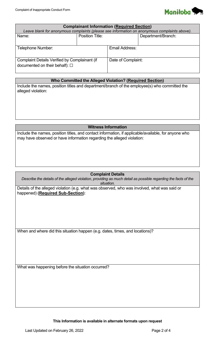

| <b>Complainant Information (Required Section)</b><br>Leave blank for anonymous complaints (please see information on anonymous complaints above). |                        |                    |                    |  |  |
|---------------------------------------------------------------------------------------------------------------------------------------------------|------------------------|--------------------|--------------------|--|--|
| Name:                                                                                                                                             | <b>Position Title:</b> |                    | Department/Branch: |  |  |
| Telephone Number:                                                                                                                                 |                        | Email Address:     |                    |  |  |
| <b>Complaint Details Verified by Complainant (if</b><br>documented on their behalf): $\Box$                                                       |                        | Date of Complaint: |                    |  |  |

#### **Who Committed the Alleged Violation? (Required Section)**

Include the names, position titles and department/branch of the employee(s) who committed the alleged violation:

#### **Witness Information**

Include the names, position titles, and contact information, if applicable/available, for anyone who may have observed or have information regarding the alleged violation:

#### **Complaint Details**

*Describe the details of the alleged violation, providing as much detail as possible regarding the facts of the situation.*

Details of the alleged violation (e.g. what was observed, who was involved, what was said or happened) **(Required Sub-Section)**:

When and where did this situation happen (e.g. dates, times, and locations)?

What was happening before the situation occurred?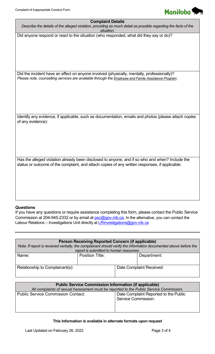| <b>Complaint Details</b><br>Describe the details of the alleged violation, providing as much detail as possible regarding the facts of the<br>situation.                                          |
|---------------------------------------------------------------------------------------------------------------------------------------------------------------------------------------------------|
| Did anyone respond or react to the situation (who responded, what did they say or do)?                                                                                                            |
|                                                                                                                                                                                                   |
|                                                                                                                                                                                                   |
|                                                                                                                                                                                                   |
| Did the incident have an effect on anyone involved (physically, mentally, professionally)?<br>Please note, counselling services are available through the Employee and Family Assistance Program. |
|                                                                                                                                                                                                   |
|                                                                                                                                                                                                   |
|                                                                                                                                                                                                   |
| Identify any evidence, if applicable, such as documentation, emails and photos (please attach copies<br>of any evidence):                                                                         |
|                                                                                                                                                                                                   |
|                                                                                                                                                                                                   |
|                                                                                                                                                                                                   |
| Has the alleged violation already been disclosed to anyone, and if so who and when? Include the<br>status or outcome of the complaint, and attach copies of any written responses, if applicable: |
|                                                                                                                                                                                                   |
|                                                                                                                                                                                                   |
|                                                                                                                                                                                                   |

#### **Questions**

If you have any questions or require assistance completing this form, please contact the Public Service Commission at 204-945-2332 or by email at **psc@gov.mb.ca.** In the alternative, you can contact the Labour Relations – Investigations Unit directly at **LRInvestigations@gov.mb.ca** 

| Person Receiving Reported Concern (if applicable)                                                               |                        |  |                          |  |  |  |
|-----------------------------------------------------------------------------------------------------------------|------------------------|--|--------------------------|--|--|--|
| Note: If report is received verbally, the complainant should verify the information documented above before the |                        |  |                          |  |  |  |
| report is submitted to human resources.                                                                         |                        |  |                          |  |  |  |
| Name:                                                                                                           | <b>Position Title:</b> |  | Department:              |  |  |  |
|                                                                                                                 |                        |  |                          |  |  |  |
| Relationship to Complainant(s):                                                                                 |                        |  | Date Complaint Received: |  |  |  |
|                                                                                                                 |                        |  |                          |  |  |  |

| <b>Public Service Commission Information (if applicable)</b>                           |                                                                     |  |  |  |
|----------------------------------------------------------------------------------------|---------------------------------------------------------------------|--|--|--|
| All complaints of sexual harassment must be reported to the Public Service Commission. |                                                                     |  |  |  |
| <b>Public Service Commission Contact:</b>                                              | Date Complaint Reported to the Public<br><b>Service Commission:</b> |  |  |  |
|                                                                                        |                                                                     |  |  |  |

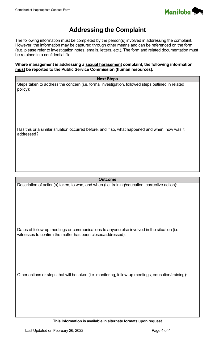

# **Addressing the Complaint**

The following information must be completed by the person(s) involved in addressing the complaint. However, the information may be captured through other means and can be referenced on the form (e.g. please refer to investigation notes, emails, letters, etc.). The form and related documentation must be retained in a confidential file.

**Where management is addressing a sexual harassment complaint, the following information must be reported to the Public Service Commission (human resources).** 

#### **Next Steps**

Steps taken to address the concern (i.e. formal investigation, followed steps outlined in related policy):

Has this or a similar situation occurred before, and if so, what happened and when, how was it addressed?

#### **Outcome**

Description of action(s) taken, to who, and when (i.e. training/education, corrective action):

Dates of follow-up meetings or communications to anyone else involved in the situation (i.e. witnesses to confirm the matter has been closed/addressed):

Other actions or steps that will be taken (i.e. monitoring, follow-up meetings, education/training):